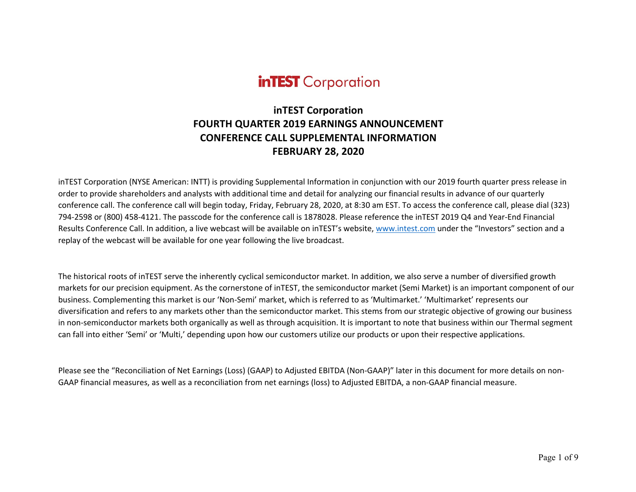# **inTEST** Corporation

## **inTEST Corporation FOURTH QUARTER 2019 EARNINGS ANNOUNCEMENT CONFERENCE CALL SUPPLEMENTAL INFORMATION FEBRUARY 28, 2020**

inTEST Corporation (NYSE American: INTT) is providing Supplemental Information in conjunction with our 2019 fourth quarter press release in order to provide shareholders and analysts with additional time and detail for analyzing our financial results in advance of our quarterly conference call. The conference call will begin today, Friday, February 28, 2020, at 8:30 am EST. To access the conference call, please dial (323) 794-2598 or (800) 458-4121. The passcode for the conference call is 1878028. Please reference the inTEST 2019 Q4 and Year-End Financial Results Conference Call. In addition, a live webcast will be available on inTEST's website, www.intest.com under the "Investors" section and a replay of the webcast will be available for one year following the live broadcast.

The historical roots of inTEST serve the inherently cyclical semiconductor market. In addition, we also serve a number of diversified growth markets for our precision equipment. As the cornerstone of inTEST, the semiconductor market (Semi Market) is an important component of our business. Complementing this market is our 'Non-Semi' market, which is referred to as 'Multimarket.' 'Multimarket' represents our diversification and refers to any markets other than the semiconductor market. This stems from our strategic objective of growing our business in non-semiconductor markets both organically as well as through acquisition. It is important to note that business within our Thermal segment can fall into either 'Semi' or 'Multi,' depending upon how our customers utilize our products or upon their respective applications.

Please see the "Reconciliation of Net Earnings (Loss) (GAAP) to Adjusted EBITDA (Non-GAAP)" later in this document for more details on non-GAAP financial measures, as well as a reconciliation from net earnings (loss) to Adjusted EBITDA, a non-GAAP financial measure.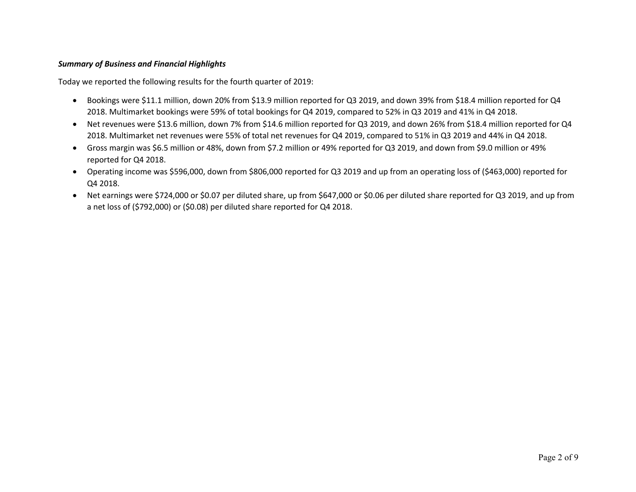#### *Summary of Business and Financial Highlights*

Today we reported the following results for the fourth quarter of 2019:

- Bookings were \$11.1 million, down 20% from \$13.9 million reported for Q3 2019, and down 39% from \$18.4 million reported for Q4 2018. Multimarket bookings were 59% of total bookings for Q4 2019, compared to 52% in Q3 2019 and 41% in Q4 2018.
- Net revenues were \$13.6 million, down 7% from \$14.6 million reported for Q3 2019, and down 26% from \$18.4 million reported for Q4 2018. Multimarket net revenues were 55% of total net revenues for Q4 2019, compared to 51% in Q3 2019 and 44% in Q4 2018.
- Gross margin was \$6.5 million or 48%, down from \$7.2 million or 49% reported for Q3 2019, and down from \$9.0 million or 49% reported for Q4 2018.
- Operating income was \$596,000, down from \$806,000 reported for Q3 2019 and up from an operating loss of (\$463,000) reported for Q4 2018.
- Net earnings were \$724,000 or \$0.07 per diluted share, up from \$647,000 or \$0.06 per diluted share reported for Q3 2019, and up from a net loss of (\$792,000) or (\$0.08) per diluted share reported for Q4 2018.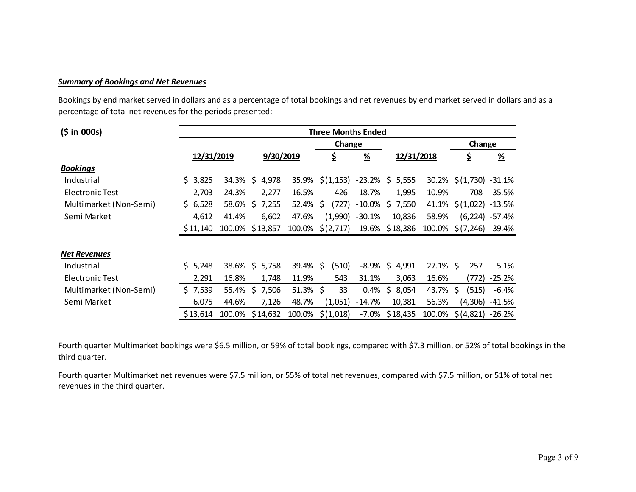#### *Summary of Bookings and Net Revenues*

Bookings by end market served in dollars and as a percentage of total bookings and net revenues by end market served in dollars and as a percentage of total net revenues for the periods presented:

| (5 in 000s)            | <b>Three Months Ended</b> |        |                  |        |                       |               |                                     |             |                        |                  |
|------------------------|---------------------------|--------|------------------|--------|-----------------------|---------------|-------------------------------------|-------------|------------------------|------------------|
|                        |                           |        |                  |        |                       | Change        |                                     |             | Change                 |                  |
|                        | 12/31/2019                |        | 9/30/2019        |        | \$                    | $\frac{9}{6}$ | 12/31/2018                          |             | ş                      | $\frac{9}{6}$    |
| <b>Bookings</b>        |                           |        |                  |        |                       |               |                                     |             |                        |                  |
| Industrial             | \$3,825                   | 34.3%  | $\zeta$<br>4,978 | 35.9%  |                       |               | $\zeta(1,153)$ -23.2% $\zeta$ 5,555 |             | 30.2% \$(1,730) -31.1% |                  |
| Electronic Test        | 2,703                     | 24.3%  | 2,277            | 16.5%  | 426                   | 18.7%         | 1,995                               | 10.9%       | 708                    | 35.5%            |
| Multimarket (Non-Semi) | \$6,528                   | 58.6%  | 7,255<br>\$      | 52.4%  | \$<br>(727)           | $-10.0\%$     | \$7,550                             | 41.1%       | \$(1,022)              | $-13.5%$         |
| Semi Market            | 4,612                     | 41.4%  | 6,602            | 47.6%  | (1,990)               | $-30.1%$      | 10,836                              | 58.9%       |                        | $(6,224) -57.4%$ |
|                        | \$11,140                  |        | 100.0% \$13,857  | 100.0% |                       |               | $$(2,717)$ -19.6% \$18,386          | 100.0%      | $$(7,246) -39.4\%$     |                  |
| <b>Net Revenues</b>    |                           |        |                  |        |                       |               |                                     |             |                        |                  |
| Industrial             | \$5,248                   |        | 38.6% \$ 5,758   | 39.4%  | (510)<br><sup>S</sup> |               | $-8.9\%$ \$ 4,991                   | $27.1\%$ \$ | 257                    | 5.1%             |
| Electronic Test        | 2,291                     | 16.8%  | 1,748            | 11.9%  | 543                   | 31.1%         | 3,063                               | 16.6%       | (772)                  | $-25.2%$         |
| Multimarket (Non-Semi) | \$7,539                   | 55.4%  | 7,506<br>-S      | 51.3%  | \$<br>33              | 0.4%          | 8,054<br>\$.                        | 43.7%       | \$<br>(515)            | $-6.4%$          |
| Semi Market            | 6,075                     | 44.6%  | 7,126            | 48.7%  | (1,051)               | $-14.7%$      | 10,381                              | 56.3%       | (4,306)                | -41.5%           |
|                        | \$13,614                  | 100.0% | \$14,632         | 100.0% | \$(1,018)             | $-7.0\%$      | \$18,435                            | 100.0%      | $$ (4,821) -26.2%$     |                  |

Fourth quarter Multimarket bookings were \$6.5 million, or 59% of total bookings, compared with \$7.3 million, or 52% of total bookings in the third quarter.

Fourth quarter Multimarket net revenues were \$7.5 million, or 55% of total net revenues, compared with \$7.5 million, or 51% of total net revenues in the third quarter.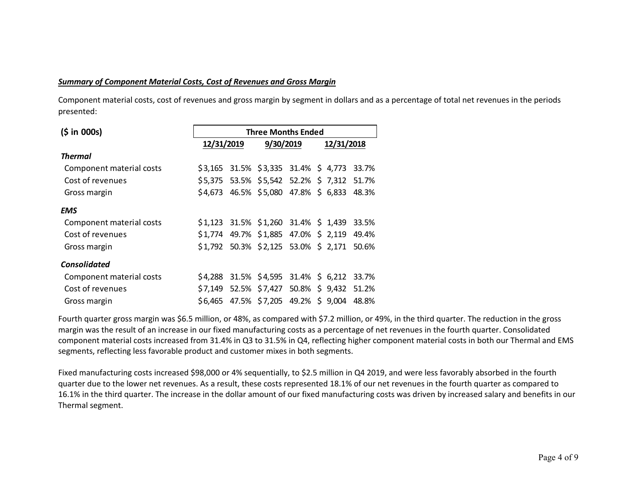#### *Summary of Component Material Costs, Cost of Revenues and Gross Margin*

Component material costs, cost of revenues and gross margin by segment in dollars and as a percentage of total net revenues in the periods presented:

| (5 in 000s)              |            | <b>Three Months Ended</b> |           |  |                                            |       |  |  |  |  |  |
|--------------------------|------------|---------------------------|-----------|--|--------------------------------------------|-------|--|--|--|--|--|
|                          | 12/31/2019 |                           | 9/30/2019 |  | 12/31/2018                                 |       |  |  |  |  |  |
| <b>Thermal</b>           |            |                           |           |  |                                            |       |  |  |  |  |  |
| Component material costs |            |                           |           |  | \$3,165 31.5% \$3,335 31.4% \$4,773 33.7%  |       |  |  |  |  |  |
| Cost of revenues         | \$5,375    |                           |           |  | 53.5% \$5,542 52.2% \$7,312 51.7%          |       |  |  |  |  |  |
| Gross margin             |            |                           |           |  | \$4,673 46.5% \$5,080 47.8% \$6,833 48.3%  |       |  |  |  |  |  |
| <b>EMS</b>               |            |                           |           |  |                                            |       |  |  |  |  |  |
| Component material costs |            |                           |           |  | $$1,123$ 31.5% $$1,260$ 31.4% \$ 1,439     | 33.5% |  |  |  |  |  |
| Cost of revenues         |            |                           |           |  | \$1,774 49.7% \$1,885 47.0% \$ 2,119 49.4% |       |  |  |  |  |  |
| Gross margin             |            |                           |           |  | \$1,792 50.3% \$2,125 53.0% \$ 2,171       | 50.6% |  |  |  |  |  |
| <b>Consolidated</b>      |            |                           |           |  |                                            |       |  |  |  |  |  |
| Component material costs |            |                           |           |  | \$4,288 31.5% \$4,595 31.4% \$6,212 33.7%  |       |  |  |  |  |  |
| Cost of revenues         | \$7,149    |                           |           |  | 52.5% \$7,427 50.8% \$9,432 51.2%          |       |  |  |  |  |  |
| Gross margin             | \$6,465    |                           |           |  | 47.5% \$7,205 49.2% \$9,004                | 48.8% |  |  |  |  |  |

Fourth quarter gross margin was \$6.5 million, or 48%, as compared with \$7.2 million, or 49%, in the third quarter. The reduction in the gross margin was the result of an increase in our fixed manufacturing costs as a percentage of net revenues in the fourth quarter. Consolidated component material costs increased from 31.4% in Q3 to 31.5% in Q4, reflecting higher component material costs in both our Thermal and EMS segments, reflecting less favorable product and customer mixes in both segments.

Fixed manufacturing costs increased \$98,000 or 4% sequentially, to \$2.5 million in Q4 2019, and were less favorably absorbed in the fourth quarter due to the lower net revenues. As a result, these costs represented 18.1% of our net revenues in the fourth quarter as compared to 16.1% in the third quarter. The increase in the dollar amount of our fixed manufacturing costs was driven by increased salary and benefits in our Thermal segment.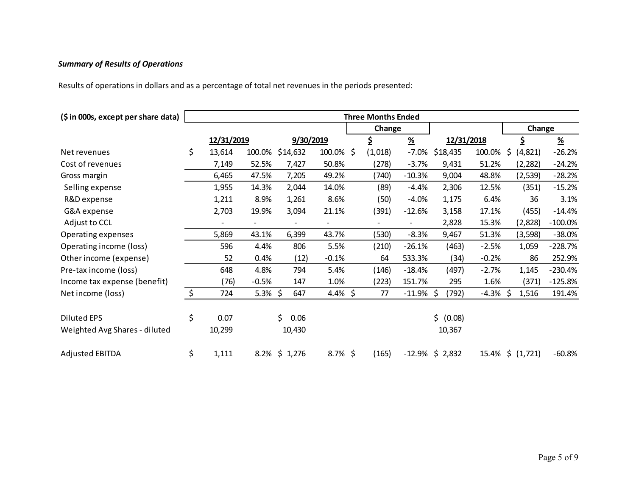### *Summary of Results of Operations*

Results of operations in dollars and as a percentage of total net revenues in the periods presented:

| (\$ in 000s, except per share data) | <b>Three Months Ended</b> |            |                          |            |                |        |         |                           |                    |             |                  |                           |
|-------------------------------------|---------------------------|------------|--------------------------|------------|----------------|--------|---------|---------------------------|--------------------|-------------|------------------|---------------------------|
|                                     |                           |            |                          |            |                | Change |         |                           |                    | Change      |                  |                           |
|                                     |                           | 12/31/2019 |                          | 9/30/2019  |                |        | \$      | $\underline{\mathcal{H}}$ | 12/31/2018         |             | \$               | $\underline{\mathcal{H}}$ |
| Net revenues                        | \$                        | 13,614     | 100.0%                   | \$14,632   | 100.0% \$      |        | (1,018) | $-7.0%$                   | \$18,435           | 100.0%      | \$<br>(4, 821)   | $-26.2%$                  |
| Cost of revenues                    |                           | 7,149      | 52.5%                    | 7,427      | 50.8%          |        | (278)   | $-3.7%$                   | 9,431              | 51.2%       | (2, 282)         | $-24.2%$                  |
| Gross margin                        |                           | 6,465      | 47.5%                    | 7,205      | 49.2%          |        | (740)   | $-10.3%$                  | 9,004              | 48.8%       | (2,539)          | $-28.2%$                  |
| Selling expense                     |                           | 1,955      | 14.3%                    | 2,044      | 14.0%          |        | (89)    | $-4.4%$                   | 2,306              | 12.5%       | (351)            | $-15.2%$                  |
| R&D expense                         |                           | 1,211      | 8.9%                     | 1,261      | 8.6%           |        | (50)    | $-4.0%$                   | 1,175              | 6.4%        | 36               | 3.1%                      |
| G&A expense                         |                           | 2,703      | 19.9%                    | 3,094      | 21.1%          |        | (391)   | $-12.6%$                  | 3,158              | 17.1%       | (455)            | $-14.4%$                  |
| Adjust to CCL                       |                           |            | $\overline{\phantom{0}}$ |            | $\blacksquare$ |        |         |                           | 2,828              | 15.3%       | (2,828)          | $-100.0%$                 |
| Operating expenses                  |                           | 5,869      | 43.1%                    | 6,399      | 43.7%          |        | (530)   | $-8.3%$                   | 9,467              | 51.3%       | (3, 598)         | $-38.0%$                  |
| Operating income (loss)             |                           | 596        | 4.4%                     | 806        | 5.5%           |        | (210)   | $-26.1%$                  | (463)              | $-2.5%$     | 1,059            | $-228.7%$                 |
| Other income (expense)              |                           | 52         | 0.4%                     | (12)       | $-0.1%$        |        | 64      | 533.3%                    | (34)               | $-0.2%$     | 86               | 252.9%                    |
| Pre-tax income (loss)               |                           | 648        | 4.8%                     | 794        | 5.4%           |        | (146)   | $-18.4%$                  | (497)              | $-2.7%$     | 1,145            | $-230.4%$                 |
| Income tax expense (benefit)        |                           | (76)       | $-0.5%$                  | 147        | 1.0%           |        | (223)   | 151.7%                    | 295                | 1.6%        | (371)            | $-125.8%$                 |
| Net income (loss)                   | \$                        | 724        | $5.3\%$ \$               | 647        | 4.4% \$        |        | 77      | $-11.9%$                  | Ŝ.<br>(792)        | $-4.3\%$ \$ | 1,516            | 191.4%                    |
|                                     |                           |            |                          |            |                |        |         |                           |                    |             |                  |                           |
| <b>Diluted EPS</b>                  | \$                        | 0.07       |                          | \$<br>0.06 |                |        |         |                           | \$ (0.08)          |             |                  |                           |
| Weighted Avg Shares - diluted       |                           | 10,299     |                          | 10,430     |                |        |         |                           | 10,367             |             |                  |                           |
| <b>Adjusted EBITDA</b>              | \$                        | 1,111      | 8.2%                     | \$1,276    | $8.7\%$ \$     |        | (165)   |                           | $-12.9\%$ \$ 2,832 |             | 15.4% \$ (1,721) | $-60.8%$                  |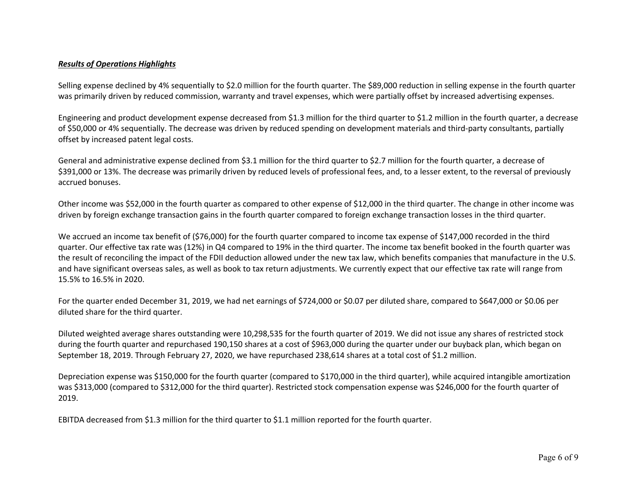#### *Results of Operations Highlights*

Selling expense declined by 4% sequentially to \$2.0 million for the fourth quarter. The \$89,000 reduction in selling expense in the fourth quarter was primarily driven by reduced commission, warranty and travel expenses, which were partially offset by increased advertising expenses.

Engineering and product development expense decreased from \$1.3 million for the third quarter to \$1.2 million in the fourth quarter, a decrease of \$50,000 or 4% sequentially. The decrease was driven by reduced spending on development materials and third-party consultants, partially offset by increased patent legal costs.

General and administrative expense declined from \$3.1 million for the third quarter to \$2.7 million for the fourth quarter, a decrease of \$391,000 or 13%. The decrease was primarily driven by reduced levels of professional fees, and, to a lesser extent, to the reversal of previously accrued bonuses.

Other income was \$52,000 in the fourth quarter as compared to other expense of \$12,000 in the third quarter. The change in other income was driven by foreign exchange transaction gains in the fourth quarter compared to foreign exchange transaction losses in the third quarter.

We accrued an income tax benefit of (\$76,000) for the fourth quarter compared to income tax expense of \$147,000 recorded in the third quarter. Our effective tax rate was (12%) in Q4 compared to 19% in the third quarter. The income tax benefit booked in the fourth quarter was the result of reconciling the impact of the FDII deduction allowed under the new tax law, which benefits companies that manufacture in the U.S. and have significant overseas sales, as well as book to tax return adjustments. We currently expect that our effective tax rate will range from 15.5% to 16.5% in 2020.

For the quarter ended December 31, 2019, we had net earnings of \$724,000 or \$0.07 per diluted share, compared to \$647,000 or \$0.06 per diluted share for the third quarter.

Diluted weighted average shares outstanding were 10,298,535 for the fourth quarter of 2019. We did not issue any shares of restricted stock during the fourth quarter and repurchased 190,150 shares at a cost of \$963,000 during the quarter under our buyback plan, which began on September 18, 2019. Through February 27, 2020, we have repurchased 238,614 shares at a total cost of \$1.2 million.

Depreciation expense was \$150,000 for the fourth quarter (compared to \$170,000 in the third quarter), while acquired intangible amortization was \$313,000 (compared to \$312,000 for the third quarter). Restricted stock compensation expense was \$246,000 for the fourth quarter of 2019.

EBITDA decreased from \$1.3 million for the third quarter to \$1.1 million reported for the fourth quarter.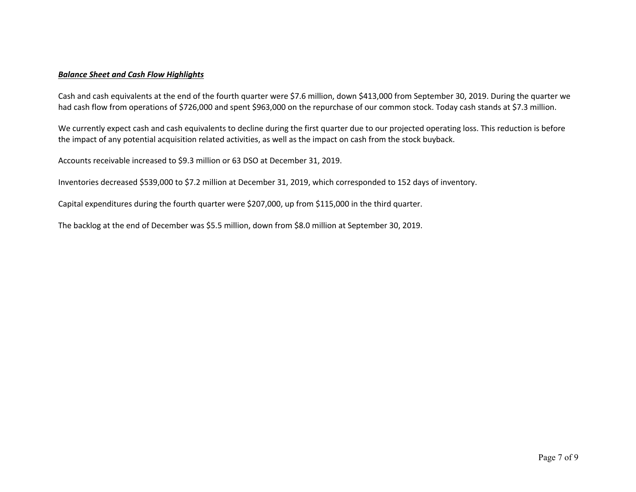#### *Balance Sheet and Cash Flow Highlights*

Cash and cash equivalents at the end of the fourth quarter were \$7.6 million, down \$413,000 from September 30, 2019. During the quarter we had cash flow from operations of \$726,000 and spent \$963,000 on the repurchase of our common stock. Today cash stands at \$7.3 million.

We currently expect cash and cash equivalents to decline during the first quarter due to our projected operating loss. This reduction is before the impact of any potential acquisition related activities, as well as the impact on cash from the stock buyback.

Accounts receivable increased to \$9.3 million or 63 DSO at December 31, 2019.

Inventories decreased \$539,000 to \$7.2 million at December 31, 2019, which corresponded to 152 days of inventory.

Capital expenditures during the fourth quarter were \$207,000, up from \$115,000 in the third quarter.

The backlog at the end of December was \$5.5 million, down from \$8.0 million at September 30, 2019.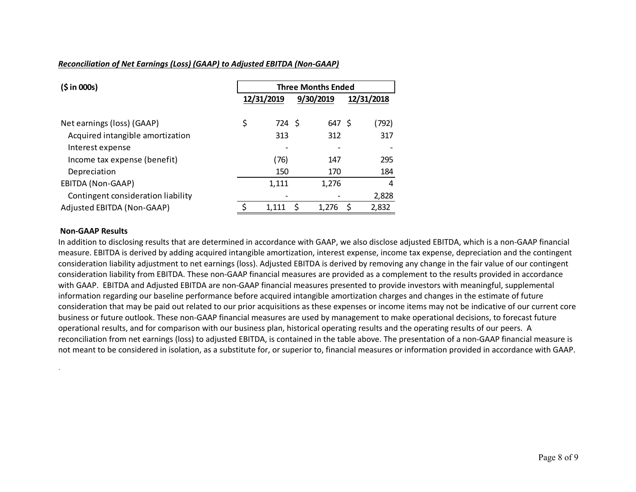#### *Reconciliation of Net Earnings (Loss) (GAAP) to Adjusted EBITDA (Non-GAAP)*

| (5 in 000s)                        | <b>Three Months Ended</b> |                          |   |           |    |            |  |  |
|------------------------------------|---------------------------|--------------------------|---|-----------|----|------------|--|--|
|                                    |                           | 12/31/2019               |   | 9/30/2019 |    | 12/31/2018 |  |  |
| Net earnings (loss) (GAAP)         | \$                        | 724 \$                   |   | 647 \$    |    | (792)      |  |  |
| Acquired intangible amortization   |                           | 313                      |   | 312       |    | 317        |  |  |
| Interest expense                   |                           |                          |   |           |    |            |  |  |
| Income tax expense (benefit)       |                           | (76)                     |   | 147       |    | 295        |  |  |
| Depreciation                       |                           | 150                      |   | 170       |    | 184        |  |  |
| EBITDA (Non-GAAP)                  |                           | 1,111                    |   | 1,276     |    | 4          |  |  |
| Contingent consideration liability |                           | $\overline{\phantom{a}}$ |   |           |    | 2,828      |  |  |
| Adjusted EBITDA (Non-GAAP)         |                           | 1.111                    | S | 1,276     | \$ | 2,832      |  |  |

#### **Non-GAAP Results**

.

In addition to disclosing results that are determined in accordance with GAAP, we also disclose adjusted EBITDA, which is a non-GAAP financial measure. EBITDA is derived by adding acquired intangible amortization, interest expense, income tax expense, depreciation and the contingent consideration liability adjustment to net earnings (loss). Adjusted EBITDA is derived by removing any change in the fair value of our contingent consideration liability from EBITDA. These non-GAAP financial measures are provided as a complement to the results provided in accordance with GAAP. EBITDA and Adjusted EBITDA are non-GAAP financial measures presented to provide investors with meaningful, supplemental information regarding our baseline performance before acquired intangible amortization charges and changes in the estimate of future consideration that may be paid out related to our prior acquisitions as these expenses or income items may not be indicative of our current core business or future outlook. These non-GAAP financial measures are used by management to make operational decisions, to forecast future operational results, and for comparison with our business plan, historical operating results and the operating results of our peers. A reconciliation from net earnings (loss) to adjusted EBITDA, is contained in the table above. The presentation of a non-GAAP financial measure is not meant to be considered in isolation, as a substitute for, or superior to, financial measures or information provided in accordance with GAAP.